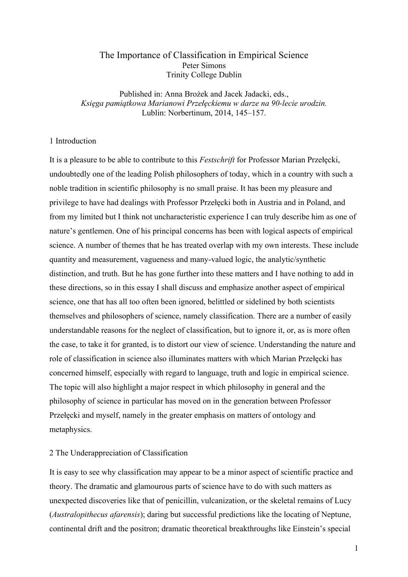# The Importance of Classification in Empirical Science Peter Simons Trinity College Dublin

Published in: Anna Brożek and Jacek Jadacki, eds., *Księga pamiątkowa Marianowi Przełęckiemu w darze na 90-lecie urodzin.* Lublin: Norbertinum, 2014, 145–157.

# 1 Introduction

It is a pleasure to be able to contribute to this *Festschrift* for Professor Marian Przełęcki, undoubtedly one of the leading Polish philosophers of today, which in a country with such a noble tradition in scientific philosophy is no small praise. It has been my pleasure and privilege to have had dealings with Professor Przełęcki both in Austria and in Poland, and from my limited but I think not uncharacteristic experience I can truly describe him as one of nature's gentlemen. One of his principal concerns has been with logical aspects of empirical science. A number of themes that he has treated overlap with my own interests. These include quantity and measurement, vagueness and many-valued logic, the analytic/synthetic distinction, and truth. But he has gone further into these matters and I have nothing to add in these directions, so in this essay I shall discuss and emphasize another aspect of empirical science, one that has all too often been ignored, belittled or sidelined by both scientists themselves and philosophers of science, namely classification. There are a number of easily understandable reasons for the neglect of classification, but to ignore it, or, as is more often the case, to take it for granted, is to distort our view of science. Understanding the nature and role of classification in science also illuminates matters with which Marian Przełęcki has concerned himself, especially with regard to language, truth and logic in empirical science. The topic will also highlight a major respect in which philosophy in general and the philosophy of science in particular has moved on in the generation between Professor Przełęcki and myself, namely in the greater emphasis on matters of ontology and metaphysics.

### 2 The Underappreciation of Classification

It is easy to see why classification may appear to be a minor aspect of scientific practice and theory. The dramatic and glamourous parts of science have to do with such matters as unexpected discoveries like that of penicillin, vulcanization, or the skeletal remains of Lucy (*Australopithecus afarensis*); daring but successful predictions like the locating of Neptune, continental drift and the positron; dramatic theoretical breakthroughs like Einstein's special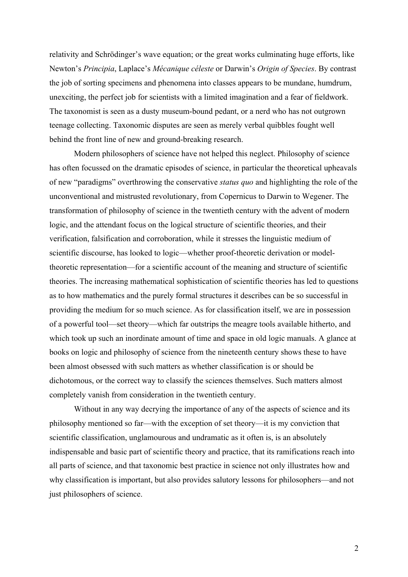relativity and Schrödinger's wave equation; or the great works culminating huge efforts, like Newton's *Principia*, Laplace's *Mécanique céleste* or Darwin's *Origin of Species*. By contrast the job of sorting specimens and phenomena into classes appears to be mundane, humdrum, unexciting, the perfect job for scientists with a limited imagination and a fear of fieldwork. The taxonomist is seen as a dusty museum-bound pedant, or a nerd who has not outgrown teenage collecting. Taxonomic disputes are seen as merely verbal quibbles fought well behind the front line of new and ground-breaking research.

Modern philosophers of science have not helped this neglect. Philosophy of science has often focussed on the dramatic episodes of science, in particular the theoretical upheavals of new "paradigms" overthrowing the conservative *status quo* and highlighting the role of the unconventional and mistrusted revolutionary, from Copernicus to Darwin to Wegener. The transformation of philosophy of science in the twentieth century with the advent of modern logic, and the attendant focus on the logical structure of scientific theories, and their verification, falsification and corroboration, while it stresses the linguistic medium of scientific discourse, has looked to logic—whether proof-theoretic derivation or modeltheoretic representation—for a scientific account of the meaning and structure of scientific theories. The increasing mathematical sophistication of scientific theories has led to questions as to how mathematics and the purely formal structures it describes can be so successful in providing the medium for so much science. As for classification itself, we are in possession of a powerful tool—set theory—which far outstrips the meagre tools available hitherto, and which took up such an inordinate amount of time and space in old logic manuals. A glance at books on logic and philosophy of science from the nineteenth century shows these to have been almost obsessed with such matters as whether classification is or should be dichotomous, or the correct way to classify the sciences themselves. Such matters almost completely vanish from consideration in the twentieth century.

Without in any way decrying the importance of any of the aspects of science and its philosophy mentioned so far—with the exception of set theory—it is my conviction that scientific classification, unglamourous and undramatic as it often is, is an absolutely indispensable and basic part of scientific theory and practice, that its ramifications reach into all parts of science, and that taxonomic best practice in science not only illustrates how and why classification is important, but also provides salutory lessons for philosophers—and not just philosophers of science.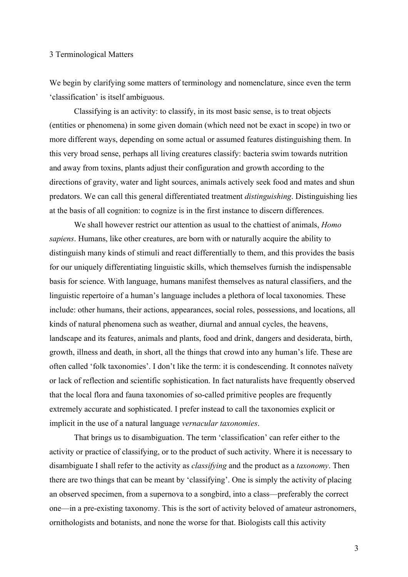#### 3 Terminological Matters

We begin by clarifying some matters of terminology and nomenclature, since even the term 'classification' is itself ambiguous.

Classifying is an activity: to classify, in its most basic sense, is to treat objects (entities or phenomena) in some given domain (which need not be exact in scope) in two or more different ways, depending on some actual or assumed features distinguishing them. In this very broad sense, perhaps all living creatures classify: bacteria swim towards nutrition and away from toxins, plants adjust their configuration and growth according to the directions of gravity, water and light sources, animals actively seek food and mates and shun predators. We can call this general differentiated treatment *distinguishing*. Distinguishing lies at the basis of all cognition: to cognize is in the first instance to discern differences.

We shall however restrict our attention as usual to the chattiest of animals, *Homo sapiens*. Humans, like other creatures, are born with or naturally acquire the ability to distinguish many kinds of stimuli and react differentially to them, and this provides the basis for our uniquely differentiating linguistic skills, which themselves furnish the indispensable basis for science. With language, humans manifest themselves as natural classifiers, and the linguistic repertoire of a human's language includes a plethora of local taxonomies. These include: other humans, their actions, appearances, social roles, possessions, and locations, all kinds of natural phenomena such as weather, diurnal and annual cycles, the heavens, landscape and its features, animals and plants, food and drink, dangers and desiderata, birth, growth, illness and death, in short, all the things that crowd into any human's life. These are often called 'folk taxonomies'. I don't like the term: it is condescending. It connotes naïvety or lack of reflection and scientific sophistication. In fact naturalists have frequently observed that the local flora and fauna taxonomies of so-called primitive peoples are frequently extremely accurate and sophisticated. I prefer instead to call the taxonomies explicit or implicit in the use of a natural language *vernacular taxonomies*.

That brings us to disambiguation. The term 'classification' can refer either to the activity or practice of classifying, or to the product of such activity. Where it is necessary to disambiguate I shall refer to the activity as *classifying* and the product as a *taxonomy*. Then there are two things that can be meant by 'classifying'. One is simply the activity of placing an observed specimen, from a supernova to a songbird, into a class—preferably the correct one—in a pre-existing taxonomy. This is the sort of activity beloved of amateur astronomers, ornithologists and botanists, and none the worse for that. Biologists call this activity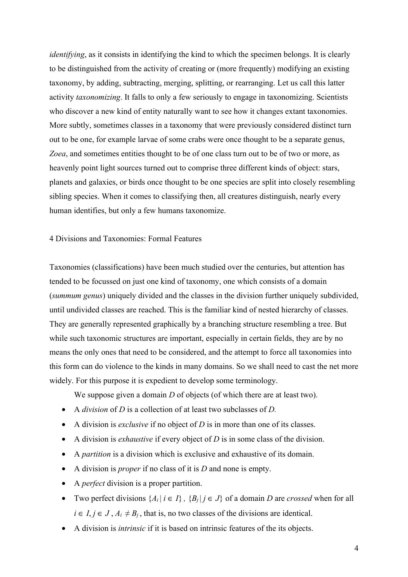*identifying*, as it consists in identifying the kind to which the specimen belongs. It is clearly to be distinguished from the activity of creating or (more frequently) modifying an existing taxonomy, by adding, subtracting, merging, splitting, or rearranging. Let us call this latter activity *taxonomizing*. It falls to only a few seriously to engage in taxonomizing. Scientists who discover a new kind of entity naturally want to see how it changes extant taxonomies. More subtly, sometimes classes in a taxonomy that were previously considered distinct turn out to be one, for example larvae of some crabs were once thought to be a separate genus, *Zoea*, and sometimes entities thought to be of one class turn out to be of two or more, as heavenly point light sources turned out to comprise three different kinds of object: stars, planets and galaxies, or birds once thought to be one species are split into closely resembling sibling species. When it comes to classifying then, all creatures distinguish, nearly every human identifies, but only a few humans taxonomize.

# 4 Divisions and Taxonomies: Formal Features

Taxonomies (classifications) have been much studied over the centuries, but attention has tended to be focussed on just one kind of taxonomy, one which consists of a domain (*summum genus*) uniquely divided and the classes in the division further uniquely subdivided, until undivided classes are reached. This is the familiar kind of nested hierarchy of classes. They are generally represented graphically by a branching structure resembling a tree. But while such taxonomic structures are important, especially in certain fields, they are by no means the only ones that need to be considered, and the attempt to force all taxonomies into this form can do violence to the kinds in many domains. So we shall need to cast the net more widely. For this purpose it is expedient to develop some terminology.

We suppose given a domain *D* of objects (of which there are at least two).

- A *division* of *D* is a collection of at least two subclasses of *D.*
- A division is *exclusive* if no object of *D* is in more than one of its classes.
- A division is *exhaustive* if every object of *D* is in some class of the division.
- A *partition* is a division which is exclusive and exhaustive of its domain.
- A division is *proper* if no class of it is *D* and none is empty.
- A *perfect* division is a proper partition.
- Two perfect divisions  $\{A_i | i \in I\}$ ,  $\{B_i | j \in J\}$  of a domain *D* are *crossed* when for all  $i \in I, j \in J, A_i \neq B_j$ , that is, no two classes of the divisions are identical.
- A division is *intrinsic* if it is based on intrinsic features of the its objects.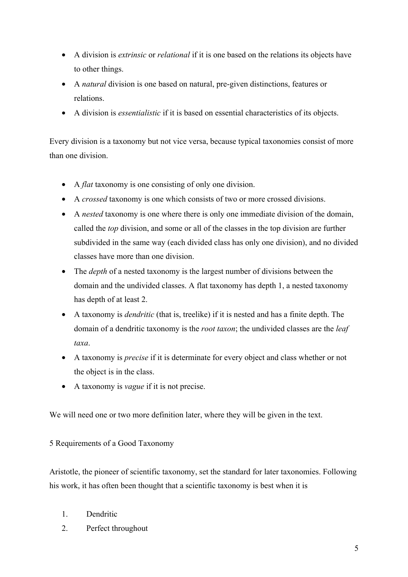- A division is *extrinsic* or *relational* if it is one based on the relations its objects have to other things.
- A *natural* division is one based on natural, pre-given distinctions, features or relations.
- A division is *essentialistic* if it is based on essential characteristics of its objects.

Every division is a taxonomy but not vice versa, because typical taxonomies consist of more than one division.

- A *flat* taxonomy is one consisting of only one division.
- A *crossed* taxonomy is one which consists of two or more crossed divisions.
- A *nested* taxonomy is one where there is only one immediate division of the domain, called the *top* division, and some or all of the classes in the top division are further subdivided in the same way (each divided class has only one division), and no divided classes have more than one division.
- The *depth* of a nested taxonomy is the largest number of divisions between the domain and the undivided classes. A flat taxonomy has depth 1, a nested taxonomy has depth of at least 2.
- A taxonomy is *dendritic* (that is, treelike) if it is nested and has a finite depth. The domain of a dendritic taxonomy is the *root taxon*; the undivided classes are the *leaf taxa*.
- A taxonomy is *precise* if it is determinate for every object and class whether or not the object is in the class.
- A taxonomy is *vague* if it is not precise.

We will need one or two more definition later, where they will be given in the text.

5 Requirements of a Good Taxonomy

Aristotle, the pioneer of scientific taxonomy, set the standard for later taxonomies. Following his work, it has often been thought that a scientific taxonomy is best when it is

- 1. Dendritic
- 2. Perfect throughout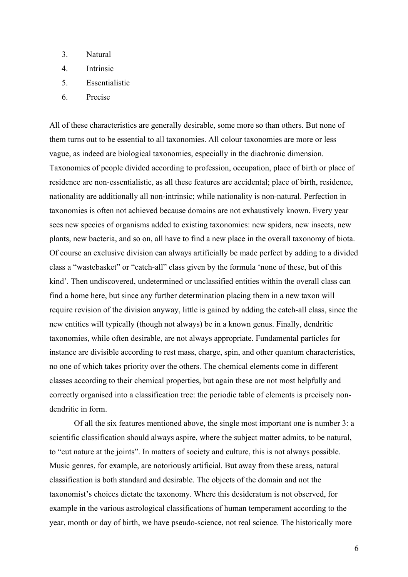- 3. Natural
- 4. Intrinsic
- 5. Essentialistic
- 6. Precise

All of these characteristics are generally desirable, some more so than others. But none of them turns out to be essential to all taxonomies. All colour taxonomies are more or less vague, as indeed are biological taxonomies, especially in the diachronic dimension. Taxonomies of people divided according to profession, occupation, place of birth or place of residence are non-essentialistic, as all these features are accidental; place of birth, residence, nationality are additionally all non-intrinsic; while nationality is non-natural. Perfection in taxonomies is often not achieved because domains are not exhaustively known. Every year sees new species of organisms added to existing taxonomies: new spiders, new insects, new plants, new bacteria, and so on, all have to find a new place in the overall taxonomy of biota. Of course an exclusive division can always artificially be made perfect by adding to a divided class a "wastebasket" or "catch-all" class given by the formula 'none of these, but of this kind'. Then undiscovered, undetermined or unclassified entities within the overall class can find a home here, but since any further determination placing them in a new taxon will require revision of the division anyway, little is gained by adding the catch-all class, since the new entities will typically (though not always) be in a known genus. Finally, dendritic taxonomies, while often desirable, are not always appropriate. Fundamental particles for instance are divisible according to rest mass, charge, spin, and other quantum characteristics, no one of which takes priority over the others. The chemical elements come in different classes according to their chemical properties, but again these are not most helpfully and correctly organised into a classification tree: the periodic table of elements is precisely nondendritic in form.

Of all the six features mentioned above, the single most important one is number 3: a scientific classification should always aspire, where the subject matter admits, to be natural, to "cut nature at the joints". In matters of society and culture, this is not always possible. Music genres, for example, are notoriously artificial. But away from these areas, natural classification is both standard and desirable. The objects of the domain and not the taxonomist's choices dictate the taxonomy. Where this desideratum is not observed, for example in the various astrological classifications of human temperament according to the year, month or day of birth, we have pseudo-science, not real science. The historically more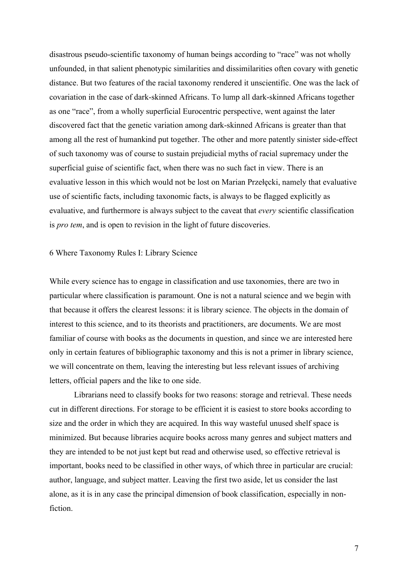disastrous pseudo-scientific taxonomy of human beings according to "race" was not wholly unfounded, in that salient phenotypic similarities and dissimilarities often covary with genetic distance. But two features of the racial taxonomy rendered it unscientific. One was the lack of covariation in the case of dark-skinned Africans. To lump all dark-skinned Africans together as one "race", from a wholly superficial Eurocentric perspective, went against the later discovered fact that the genetic variation among dark-skinned Africans is greater than that among all the rest of humankind put together. The other and more patently sinister side-effect of such taxonomy was of course to sustain prejudicial myths of racial supremacy under the superficial guise of scientific fact, when there was no such fact in view. There is an evaluative lesson in this which would not be lost on Marian Przełęcki, namely that evaluative use of scientific facts, including taxonomic facts, is always to be flagged explicitly as evaluative, and furthermore is always subject to the caveat that *every* scientific classification is *pro tem*, and is open to revision in the light of future discoveries.

### 6 Where Taxonomy Rules I: Library Science

While every science has to engage in classification and use taxonomies, there are two in particular where classification is paramount. One is not a natural science and we begin with that because it offers the clearest lessons: it is library science. The objects in the domain of interest to this science, and to its theorists and practitioners, are documents. We are most familiar of course with books as the documents in question, and since we are interested here only in certain features of bibliographic taxonomy and this is not a primer in library science, we will concentrate on them, leaving the interesting but less relevant issues of archiving letters, official papers and the like to one side.

Librarians need to classify books for two reasons: storage and retrieval. These needs cut in different directions. For storage to be efficient it is easiest to store books according to size and the order in which they are acquired. In this way wasteful unused shelf space is minimized. But because libraries acquire books across many genres and subject matters and they are intended to be not just kept but read and otherwise used, so effective retrieval is important, books need to be classified in other ways, of which three in particular are crucial: author, language, and subject matter. Leaving the first two aside, let us consider the last alone, as it is in any case the principal dimension of book classification, especially in nonfiction.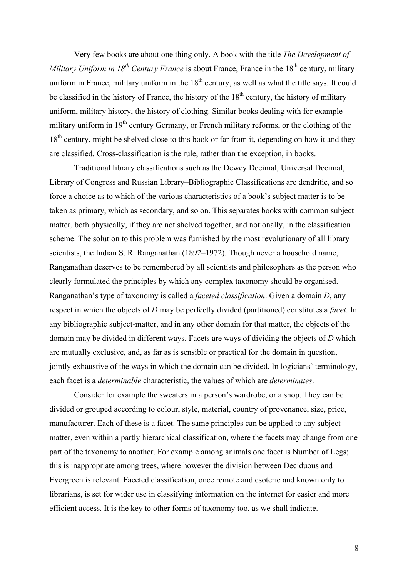Very few books are about one thing only. A book with the title *The Development of Military Uniform in*  $18^{th}$  *Century France* is about France, France in the  $18^{th}$  century, military uniform in France, military uniform in the  $18<sup>th</sup>$  century, as well as what the title says. It could be classified in the history of France, the history of the  $18<sup>th</sup>$  century, the history of military uniform, military history, the history of clothing. Similar books dealing with for example military uniform in 19<sup>th</sup> century Germany, or French military reforms, or the clothing of the  $18<sup>th</sup>$  century, might be shelved close to this book or far from it, depending on how it and they are classified. Cross-classification is the rule, rather than the exception, in books.

Traditional library classifications such as the Dewey Decimal, Universal Decimal, Library of Congress and Russian Library–Bibliographic Classifications are dendritic, and so force a choice as to which of the various characteristics of a book's subject matter is to be taken as primary, which as secondary, and so on. This separates books with common subject matter, both physically, if they are not shelved together, and notionally, in the classification scheme. The solution to this problem was furnished by the most revolutionary of all library scientists, the Indian S. R. Ranganathan (1892–1972). Though never a household name, Ranganathan deserves to be remembered by all scientists and philosophers as the person who clearly formulated the principles by which any complex taxonomy should be organised. Ranganathan's type of taxonomy is called a *faceted classification*. Given a domain *D*, any respect in which the objects of *D* may be perfectly divided (partitioned) constitutes a *facet*. In any bibliographic subject-matter, and in any other domain for that matter, the objects of the domain may be divided in different ways. Facets are ways of dividing the objects of *D* which are mutually exclusive, and, as far as is sensible or practical for the domain in question, jointly exhaustive of the ways in which the domain can be divided. In logicians' terminology, each facet is a *determinable* characteristic, the values of which are *determinates*.

Consider for example the sweaters in a person's wardrobe, or a shop. They can be divided or grouped according to colour, style, material, country of provenance, size, price, manufacturer. Each of these is a facet. The same principles can be applied to any subject matter, even within a partly hierarchical classification, where the facets may change from one part of the taxonomy to another. For example among animals one facet is Number of Legs; this is inappropriate among trees, where however the division between Deciduous and Evergreen is relevant. Faceted classification, once remote and esoteric and known only to librarians, is set for wider use in classifying information on the internet for easier and more efficient access. It is the key to other forms of taxonomy too, as we shall indicate.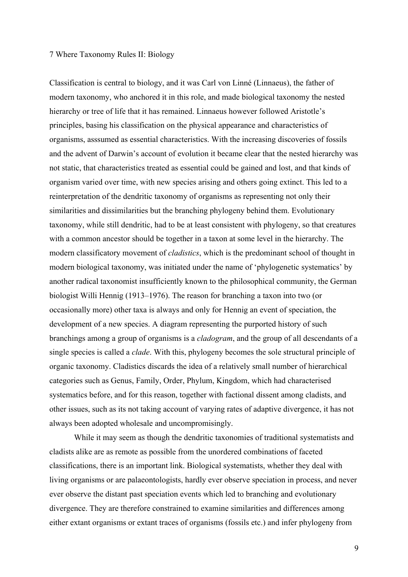#### 7 Where Taxonomy Rules II: Biology

Classification is central to biology, and it was Carl von Linné (Linnaeus), the father of modern taxonomy, who anchored it in this role, and made biological taxonomy the nested hierarchy or tree of life that it has remained. Linnaeus however followed Aristotle's principles, basing his classification on the physical appearance and characteristics of organisms, asssumed as essential characteristics. With the increasing discoveries of fossils and the advent of Darwin's account of evolution it became clear that the nested hierarchy was not static, that characteristics treated as essential could be gained and lost, and that kinds of organism varied over time, with new species arising and others going extinct. This led to a reinterpretation of the dendritic taxonomy of organisms as representing not only their similarities and dissimilarities but the branching phylogeny behind them. Evolutionary taxonomy, while still dendritic, had to be at least consistent with phylogeny, so that creatures with a common ancestor should be together in a taxon at some level in the hierarchy. The modern classificatory movement of *cladistics*, which is the predominant school of thought in modern biological taxonomy, was initiated under the name of 'phylogenetic systematics' by another radical taxonomist insufficiently known to the philosophical community, the German biologist Willi Hennig (1913–1976). The reason for branching a taxon into two (or occasionally more) other taxa is always and only for Hennig an event of speciation, the development of a new species. A diagram representing the purported history of such branchings among a group of organisms is a *cladogram*, and the group of all descendants of a single species is called a *clade*. With this, phylogeny becomes the sole structural principle of organic taxonomy. Cladistics discards the idea of a relatively small number of hierarchical categories such as Genus, Family, Order, Phylum, Kingdom, which had characterised systematics before, and for this reason, together with factional dissent among cladists, and other issues, such as its not taking account of varying rates of adaptive divergence, it has not always been adopted wholesale and uncompromisingly.

While it may seem as though the dendritic taxonomies of traditional systematists and cladists alike are as remote as possible from the unordered combinations of faceted classifications, there is an important link. Biological systematists, whether they deal with living organisms or are palaeontologists, hardly ever observe speciation in process, and never ever observe the distant past speciation events which led to branching and evolutionary divergence. They are therefore constrained to examine similarities and differences among either extant organisms or extant traces of organisms (fossils etc.) and infer phylogeny from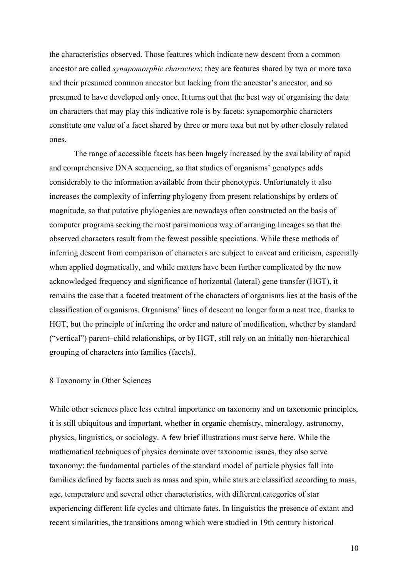the characteristics observed. Those features which indicate new descent from a common ancestor are called *synapomorphic characters*: they are features shared by two or more taxa and their presumed common ancestor but lacking from the ancestor's ancestor, and so presumed to have developed only once. It turns out that the best way of organising the data on characters that may play this indicative role is by facets: synapomorphic characters constitute one value of a facet shared by three or more taxa but not by other closely related ones.

The range of accessible facets has been hugely increased by the availability of rapid and comprehensive DNA sequencing, so that studies of organisms' genotypes adds considerably to the information available from their phenotypes. Unfortunately it also increases the complexity of inferring phylogeny from present relationships by orders of magnitude, so that putative phylogenies are nowadays often constructed on the basis of computer programs seeking the most parsimonious way of arranging lineages so that the observed characters result from the fewest possible speciations. While these methods of inferring descent from comparison of characters are subject to caveat and criticism, especially when applied dogmatically, and while matters have been further complicated by the now acknowledged frequency and significance of horizontal (lateral) gene transfer (HGT), it remains the case that a faceted treatment of the characters of organisms lies at the basis of the classification of organisms. Organisms' lines of descent no longer form a neat tree, thanks to HGT, but the principle of inferring the order and nature of modification, whether by standard ("vertical") parent–child relationships, or by HGT, still rely on an initially non-hierarchical grouping of characters into families (facets).

#### 8 Taxonomy in Other Sciences

While other sciences place less central importance on taxonomy and on taxonomic principles, it is still ubiquitous and important, whether in organic chemistry, mineralogy, astronomy, physics, linguistics, or sociology. A few brief illustrations must serve here. While the mathematical techniques of physics dominate over taxonomic issues, they also serve taxonomy: the fundamental particles of the standard model of particle physics fall into families defined by facets such as mass and spin, while stars are classified according to mass, age, temperature and several other characteristics, with different categories of star experiencing different life cycles and ultimate fates. In linguistics the presence of extant and recent similarities, the transitions among which were studied in 19th century historical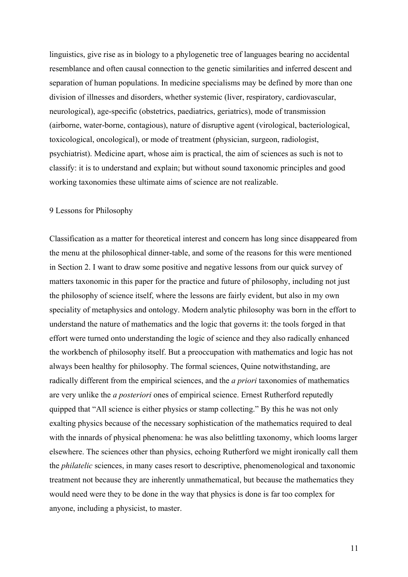linguistics, give rise as in biology to a phylogenetic tree of languages bearing no accidental resemblance and often causal connection to the genetic similarities and inferred descent and separation of human populations. In medicine specialisms may be defined by more than one division of illnesses and disorders, whether systemic (liver, respiratory, cardiovascular, neurological), age-specific (obstetrics, paediatrics, geriatrics), mode of transmission (airborne, water-borne, contagious), nature of disruptive agent (virological, bacteriological, toxicological, oncological), or mode of treatment (physician, surgeon, radiologist, psychiatrist). Medicine apart, whose aim is practical, the aim of sciences as such is not to classify: it is to understand and explain; but without sound taxonomic principles and good working taxonomies these ultimate aims of science are not realizable.

## 9 Lessons for Philosophy

Classification as a matter for theoretical interest and concern has long since disappeared from the menu at the philosophical dinner-table, and some of the reasons for this were mentioned in Section 2. I want to draw some positive and negative lessons from our quick survey of matters taxonomic in this paper for the practice and future of philosophy, including not just the philosophy of science itself, where the lessons are fairly evident, but also in my own speciality of metaphysics and ontology. Modern analytic philosophy was born in the effort to understand the nature of mathematics and the logic that governs it: the tools forged in that effort were turned onto understanding the logic of science and they also radically enhanced the workbench of philosophy itself. But a preoccupation with mathematics and logic has not always been healthy for philosophy. The formal sciences, Quine notwithstanding, are radically different from the empirical sciences, and the *a priori* taxonomies of mathematics are very unlike the *a posteriori* ones of empirical science. Ernest Rutherford reputedly quipped that "All science is either physics or stamp collecting." By this he was not only exalting physics because of the necessary sophistication of the mathematics required to deal with the innards of physical phenomena: he was also belittling taxonomy, which looms larger elsewhere. The sciences other than physics, echoing Rutherford we might ironically call them the *philatelic* sciences, in many cases resort to descriptive, phenomenological and taxonomic treatment not because they are inherently unmathematical, but because the mathematics they would need were they to be done in the way that physics is done is far too complex for anyone, including a physicist, to master.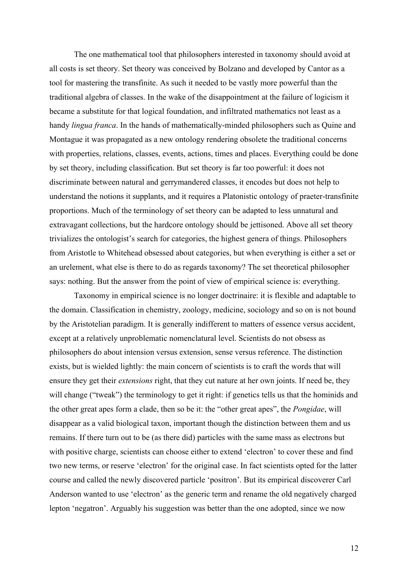The one mathematical tool that philosophers interested in taxonomy should avoid at all costs is set theory. Set theory was conceived by Bolzano and developed by Cantor as a tool for mastering the transfinite. As such it needed to be vastly more powerful than the traditional algebra of classes. In the wake of the disappointment at the failure of logicism it became a substitute for that logical foundation, and infiltrated mathematics not least as a handy *lingua franca*. In the hands of mathematically-minded philosophers such as Quine and Montague it was propagated as a new ontology rendering obsolete the traditional concerns with properties, relations, classes, events, actions, times and places. Everything could be done by set theory, including classification. But set theory is far too powerful: it does not discriminate between natural and gerrymandered classes, it encodes but does not help to understand the notions it supplants, and it requires a Platonistic ontology of praeter-transfinite proportions. Much of the terminology of set theory can be adapted to less unnatural and extravagant collections, but the hardcore ontology should be jettisoned. Above all set theory trivializes the ontologist's search for categories, the highest genera of things. Philosophers from Aristotle to Whitehead obsessed about categories, but when everything is either a set or an urelement, what else is there to do as regards taxonomy? The set theoretical philosopher says: nothing. But the answer from the point of view of empirical science is: everything.

Taxonomy in empirical science is no longer doctrinaire: it is flexible and adaptable to the domain. Classification in chemistry, zoology, medicine, sociology and so on is not bound by the Aristotelian paradigm. It is generally indifferent to matters of essence versus accident, except at a relatively unproblematic nomenclatural level. Scientists do not obsess as philosophers do about intension versus extension, sense versus reference. The distinction exists, but is wielded lightly: the main concern of scientists is to craft the words that will ensure they get their *extensions* right, that they cut nature at her own joints. If need be, they will change ("tweak") the terminology to get it right: if genetics tells us that the hominids and the other great apes form a clade, then so be it: the "other great apes", the *Pongidae*, will disappear as a valid biological taxon, important though the distinction between them and us remains. If there turn out to be (as there did) particles with the same mass as electrons but with positive charge, scientists can choose either to extend 'electron' to cover these and find two new terms, or reserve 'electron' for the original case. In fact scientists opted for the latter course and called the newly discovered particle 'positron'. But its empirical discoverer Carl Anderson wanted to use 'electron' as the generic term and rename the old negatively charged lepton 'negatron'. Arguably his suggestion was better than the one adopted, since we now